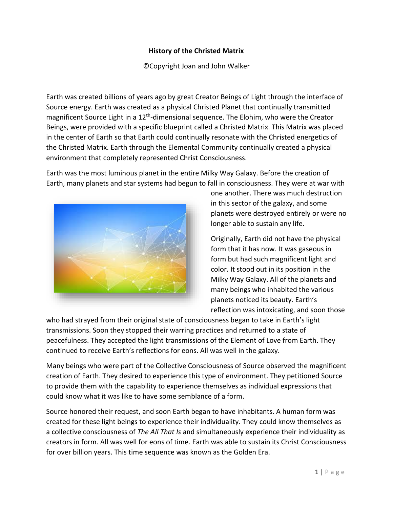## **History of the Christed Matrix**

©Copyright Joan and John Walker

Earth was created billions of years ago by great Creator Beings of Light through the interface of Source energy. Earth was created as a physical Christed Planet that continually transmitted magnificent Source Light in a 12<sup>th</sup>-dimensional sequence. The Elohim, who were the Creator Beings, were provided with a specific blueprint called a Christed Matrix. This Matrix was placed in the center of Earth so that Earth could continually resonate with the Christed energetics of the Christed Matrix. Earth through the Elemental Community continually created a physical environment that completely represented Christ Consciousness.

Earth was the most luminous planet in the entire Milky Way Galaxy. Before the creation of Earth, many planets and star systems had begun to fall in consciousness. They were at war with



one another. There was much destruction in this sector of the galaxy, and some planets were destroyed entirely or were no longer able to sustain any life.

Originally, Earth did not have the physical form that it has now. It was gaseous in form but had such magnificent light and color. It stood out in its position in the Milky Way Galaxy. All of the planets and many beings who inhabited the various planets noticed its beauty. Earth's reflection was intoxicating, and soon those

who had strayed from their original state of consciousness began to take in Earth's light transmissions. Soon they stopped their warring practices and returned to a state of peacefulness. They accepted the light transmissions of the Element of Love from Earth. They continued to receive Earth's reflections for eons. All was well in the galaxy.

Many beings who were part of the Collective Consciousness of Source observed the magnificent creation of Earth. They desired to experience this type of environment. They petitioned Source to provide them with the capability to experience themselves as individual expressions that could know what it was like to have some semblance of a form.

Source honored their request, and soon Earth began to have inhabitants. A human form was created for these light beings to experience their individuality. They could know themselves as a collective consciousness of *The All That Is* and simultaneously experience their individuality as creators in form. All was well for eons of time. Earth was able to sustain its Christ Consciousness for over billion years. This time sequence was known as the Golden Era.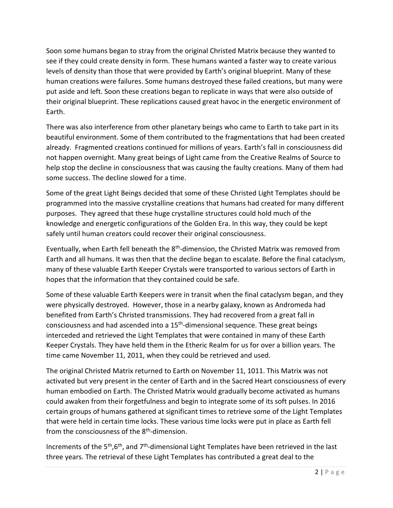Soon some humans began to stray from the original Christed Matrix because they wanted to see if they could create density in form. These humans wanted a faster way to create various levels of density than those that were provided by Earth's original blueprint. Many of these human creations were failures. Some humans destroyed these failed creations, but many were put aside and left. Soon these creations began to replicate in ways that were also outside of their original blueprint. These replications caused great havoc in the energetic environment of Earth.

There was also interference from other planetary beings who came to Earth to take part in its beautiful environment. Some of them contributed to the fragmentations that had been created already. Fragmented creations continued for millions of years. Earth's fall in consciousness did not happen overnight. Many great beings of Light came from the Creative Realms of Source to help stop the decline in consciousness that was causing the faulty creations. Many of them had some success. The decline slowed for a time.

Some of the great Light Beings decided that some of these Christed Light Templates should be programmed into the massive crystalline creations that humans had created for many different purposes. They agreed that these huge crystalline structures could hold much of the knowledge and energetic configurations of the Golden Era. In this way, they could be kept safely until human creators could recover their original consciousness.

Eventually, when Earth fell beneath the 8<sup>th</sup>-dimension, the Christed Matrix was removed from Earth and all humans. It was then that the decline began to escalate. Before the final cataclysm, many of these valuable Earth Keeper Crystals were transported to various sectors of Earth in hopes that the information that they contained could be safe.

Some of these valuable Earth Keepers were in transit when the final cataclysm began, and they were physically destroyed. However, those in a nearby galaxy, known as Andromeda had benefited from Earth's Christed transmissions. They had recovered from a great fall in consciousness and had ascended into a 15<sup>th</sup>-dimensional sequence. These great beings interceded and retrieved the Light Templates that were contained in many of these Earth Keeper Crystals. They have held them in the Etheric Realm for us for over a billion years. The time came November 11, 2011, when they could be retrieved and used.

The original Christed Matrix returned to Earth on November 11, 1011. This Matrix was not activated but very present in the center of Earth and in the Sacred Heart consciousness of every human embodied on Earth. The Christed Matrix would gradually become activated as humans could awaken from their forgetfulness and begin to integrate some of its soft pulses. In 2016 certain groups of humans gathered at significant times to retrieve some of the Light Templates that were held in certain time locks. These various time locks were put in place as Earth fell from the consciousness of the 8<sup>th</sup>-dimension.

Increments of the 5<sup>th</sup>,6<sup>th</sup>, and 7<sup>th</sup>-dimensional Light Templates have been retrieved in the last three years. The retrieval of these Light Templates has contributed a great deal to the